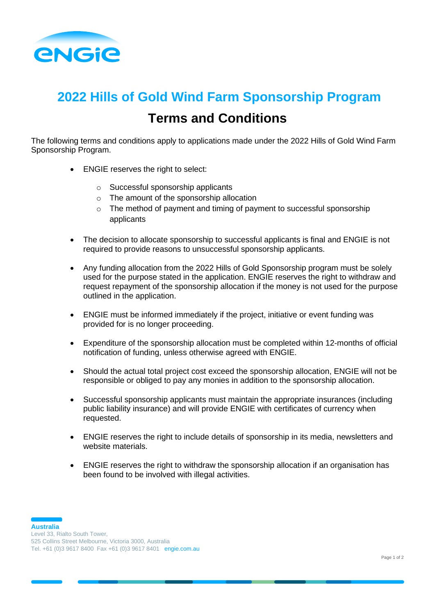

## **2022 Hills of Gold Wind Farm Sponsorship Program Terms and Conditions**

The following terms and conditions apply to applications made under the 2022 Hills of Gold Wind Farm Sponsorship Program.

- ENGIE reserves the right to select:
	- o Successful sponsorship applicants
	- o The amount of the sponsorship allocation
	- $\circ$  The method of payment and timing of payment to successful sponsorship applicants
- The decision to allocate sponsorship to successful applicants is final and ENGIE is not required to provide reasons to unsuccessful sponsorship applicants.
- Any funding allocation from the 2022 Hills of Gold Sponsorship program must be solely used for the purpose stated in the application. ENGIE reserves the right to withdraw and request repayment of the sponsorship allocation if the money is not used for the purpose outlined in the application.
- ENGIE must be informed immediately if the project, initiative or event funding was provided for is no longer proceeding.
- Expenditure of the sponsorship allocation must be completed within 12-months of official notification of funding, unless otherwise agreed with ENGIE.
- Should the actual total project cost exceed the sponsorship allocation, ENGIE will not be responsible or obliged to pay any monies in addition to the sponsorship allocation.
- Successful sponsorship applicants must maintain the appropriate insurances (including public liability insurance) and will provide ENGIE with certificates of currency when requested.
- ENGIE reserves the right to include details of sponsorship in its media, newsletters and website materials.
- ENGIE reserves the right to withdraw the sponsorship allocation if an organisation has been found to be involved with illegal activities.

**Australia** Level 33, Rialto South Tower, 525 Collins Street Melbourne, Victoria 3000, Australia Tel. +61 (0)3 9617 8400 Fax +61 (0)3 9617 8401 engie.com.au